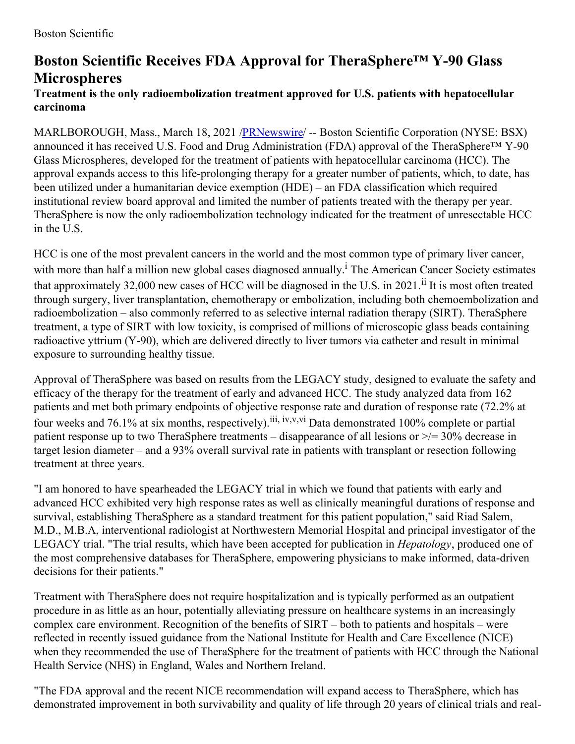## **Boston Scientific Receives FDA Approval for TheraSphere™ Y-90 Glass Microspheres**

## **Treatment is the only radioembolization treatment approved for U.S. patients with hepatocellular carcinoma**

MARLBOROUGH, Mass., March 18, 2021 [/PRNewswire](http://www.prnewswire.com/)/ -- Boston Scientific Corporation (NYSE: BSX) announced it has received U.S. Food and Drug Administration (FDA) approval of the TheraSphere™ Y-90 Glass Microspheres, developed for the treatment of patients with hepatocellular carcinoma (HCC). The approval expands access to this life-prolonging therapy for a greater number of patients, which, to date, has been utilized under a humanitarian device exemption (HDE) – an FDA classification which required institutional review board approval and limited the number of patients treated with the therapy per year. TheraSphere is now the only radioembolization technology indicated for the treatment of unresectable HCC in the U.S.

HCC is one of the most prevalent cancers in the world and the most common type of primary liver cancer, with more than half a million new global cases diagnosed annually.<sup>1</sup> The American Cancer Society estimates that approximately 32,000 new cases of HCC will be diagnosed in the U.S. in 2021.<sup>ii</sup> It is most often treated through surgery, liver transplantation, chemotherapy or embolization, including both chemoembolization and radioembolization – also commonly referred to as selective internal radiation therapy (SIRT). TheraSphere treatment, a type of SIRT with low toxicity, is comprised of millions of microscopic glass beads containing radioactive yttrium (Y-90), which are delivered directly to liver tumors via catheter and result in minimal exposure to surrounding healthy tissue.

Approval of TheraSphere was based on results from the LEGACY study, designed to evaluate the safety and efficacy of the therapy for the treatment of early and advanced HCC. The study analyzed data from 162 patients and met both primary endpoints of objective response rate and duration of response rate (72.2% at four weeks and 76.1% at six months, respectively).<sup>iii, iv,v,vi</sup> Data demonstrated 100% complete or partial patient response up to two TheraSphere treatments – disappearance of all lesions or >/= 30% decrease in target lesion diameter – and a 93% overall survival rate in patients with transplant or resection following treatment at three years.

"I am honored to have spearheaded the LEGACY trial in which we found that patients with early and advanced HCC exhibited very high response rates as well as clinically meaningful durations of response and survival, establishing TheraSphere as a standard treatment for this patient population," said Riad Salem, M.D., M.B.A, interventional radiologist at Northwestern Memorial Hospital and principal investigator of the LEGACY trial. "The trial results, which have been accepted for publication in *Hepatology*, produced one of the most comprehensive databases for TheraSphere, empowering physicians to make informed, data-driven decisions for their patients."

Treatment with TheraSphere does not require hospitalization and is typically performed as an outpatient procedure in as little as an hour, potentially alleviating pressure on healthcare systems in an increasingly complex care environment. Recognition of the benefits of SIRT – both to patients and hospitals – were reflected in recently issued guidance from the National Institute for Health and Care Excellence (NICE) when they recommended the use of TheraSphere for the treatment of patients with HCC through the National Health Service (NHS) in England, Wales and Northern Ireland.

"The FDA approval and the recent NICE recommendation will expand access to TheraSphere, which has demonstrated improvement in both survivability and quality of life through 20 years of clinical trials and real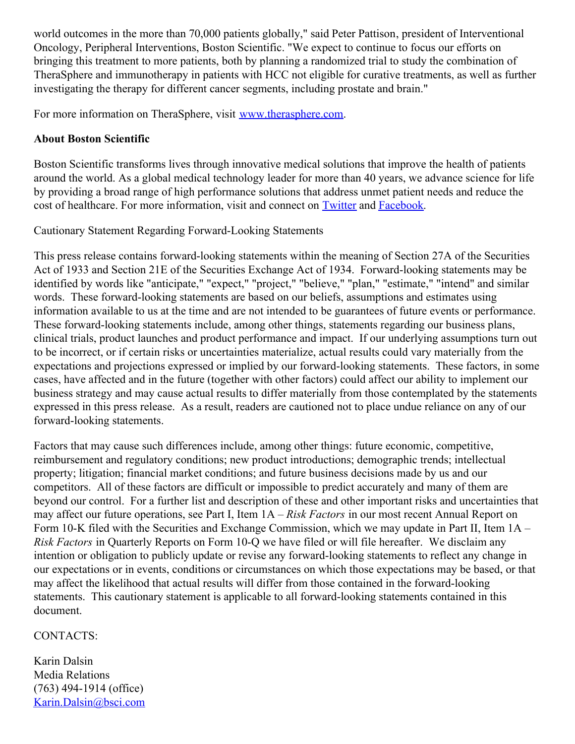world outcomes in the more than 70,000 patients globally," said Peter Pattison, president of Interventional Oncology, Peripheral Interventions, Boston Scientific. "We expect to continue to focus our efforts on bringing this treatment to more patients, both by planning a randomized trial to study the combination of TheraSphere and immunotherapy in patients with HCC not eligible for curative treatments, as well as further investigating the therapy for different cancer segments, including prostate and brain."

For more information on TheraSphere, visit [www.therasphere.com](https://c212.net/c/link/?t=0&l=en&o=3101112-1&h=876996760&u=http%3A%2F%2Fwww.therasphere.com%2F&a=www.therasphere.com).

## **About Boston Scientific**

Boston Scientific transforms lives through innovative medical solutions that improve the health of patients around the world. As a global medical technology leader for more than 40 years, we advance science for life by providing a broad range of high performance solutions that address unmet patient needs and reduce the cost of healthcare. For more information, visit and connect on [Twitter](https://c212.net/c/link/?t=0&l=en&o=3101112-1&h=4035859618&u=http%3A%2F%2Ftwitter.com%2Fbostonsci&a=Twitter) and [Facebook](https://c212.net/c/link/?t=0&l=en&o=3101112-1&h=3876455916&u=http%3A%2F%2Fwww.facebook.com%2Fbostonscientific&a=Facebook).

Cautionary Statement Regarding Forward-Looking Statements

This press release contains forward-looking statements within the meaning of Section 27A of the Securities Act of 1933 and Section 21E of the Securities Exchange Act of 1934. Forward-looking statements may be identified by words like "anticipate," "expect," "project," "believe," "plan," "estimate," "intend" and similar words. These forward-looking statements are based on our beliefs, assumptions and estimates using information available to us at the time and are not intended to be guarantees of future events or performance. These forward-looking statements include, among other things, statements regarding our business plans, clinical trials, product launches and product performance and impact. If our underlying assumptions turn out to be incorrect, or if certain risks or uncertainties materialize, actual results could vary materially from the expectations and projections expressed or implied by our forward-looking statements. These factors, in some cases, have affected and in the future (together with other factors) could affect our ability to implement our business strategy and may cause actual results to differ materially from those contemplated by the statements expressed in this press release. As a result, readers are cautioned not to place undue reliance on any of our forward-looking statements.

Factors that may cause such differences include, among other things: future economic, competitive, reimbursement and regulatory conditions; new product introductions; demographic trends; intellectual property; litigation; financial market conditions; and future business decisions made by us and our competitors. All of these factors are difficult or impossible to predict accurately and many of them are beyond our control. For a further list and description of these and other important risks and uncertainties that may affect our future operations, see Part I, Item 1A – *Risk Factors* in our most recent Annual Report on Form 10-K filed with the Securities and Exchange Commission, which we may update in Part II, Item 1A – *Risk Factors* in Quarterly Reports on Form 10-Q we have filed or will file hereafter. We disclaim any intention or obligation to publicly update or revise any forward-looking statements to reflect any change in our expectations or in events, conditions or circumstances on which those expectations may be based, or that may affect the likelihood that actual results will differ from those contained in the forward-looking statements. This cautionary statement is applicable to all forward-looking statements contained in this document.

## CONTACTS:

Karin Dalsin Media Relations (763) 494-1914 (office) [Karin.Dalsin@bsci.com](mailto:Karin.Dalsin@bsci.com)